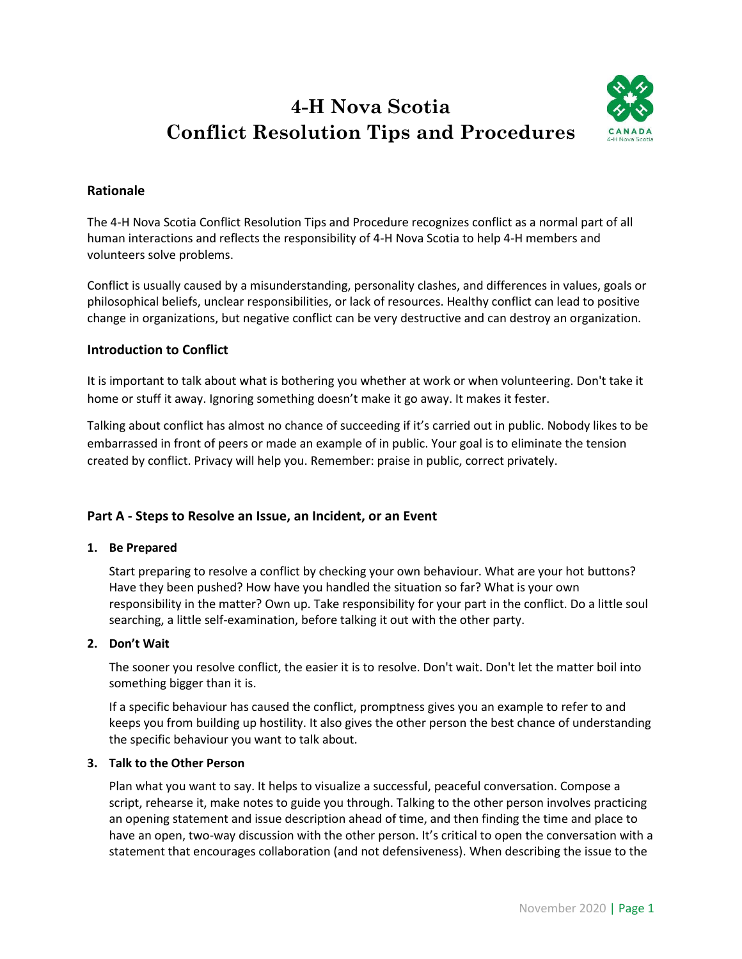# **4-H Nova Scotia Conflict Resolution Tips and Procedures**



# **Rationale**

The 4-H Nova Scotia Conflict Resolution Tips and Procedure recognizes conflict as a normal part of all human interactions and reflects the responsibility of 4-H Nova Scotia to help 4-H members and volunteers solve problems.

Conflict is usually caused by a misunderstanding, personality clashes, and differences in values, goals or philosophical beliefs, unclear responsibilities, or lack of resources. Healthy conflict can lead to positive change in organizations, but negative conflict can be very destructive and can destroy an organization.

# **Introduction to Conflict**

It is important to talk about what is bothering you whether at work or when volunteering. Don't take it home or stuff it away. Ignoring something doesn't make it go away. It makes it fester.

Talking about conflict has almost no chance of succeeding if it's carried out in public. Nobody likes to be embarrassed in front of peers or made an example of in public. Your goal is to eliminate the tension created by conflict. Privacy will help you. Remember: praise in public, correct privately.

# **Part A - Steps to Resolve an Issue, an Incident, or an Event**

## **1. Be Prepared**

Start preparing to resolve a conflict by checking your own behaviour. What are your hot buttons? Have they been pushed? How have you handled the situation so far? What is your own responsibility in the matter? Own up. Take responsibility for your part in the conflict. Do a little soul searching, a little self-examination, before talking it out with the other party.

#### **2. Don't Wait**

The sooner you resolve conflict, the easier it is to resolve. Don't wait. Don't let the matter boil into something bigger than it is.

If a specific behaviour has caused the conflict, promptness gives you an example to refer to and keeps you from building up hostility. It also gives the other person the best chance of understanding the specific behaviour you want to talk about.

## **3. Talk to the Other Person**

Plan what you want to say. It helps to visualize a successful, peaceful conversation. Compose a script, rehearse it, make notes to guide you through. Talking to the other person involves practicing an opening statement and issue description ahead of time, and then finding the time and place to have an open, two-way discussion with the other person. It's critical to open the conversation with a statement that encourages collaboration (and not defensiveness). When describing the issue to the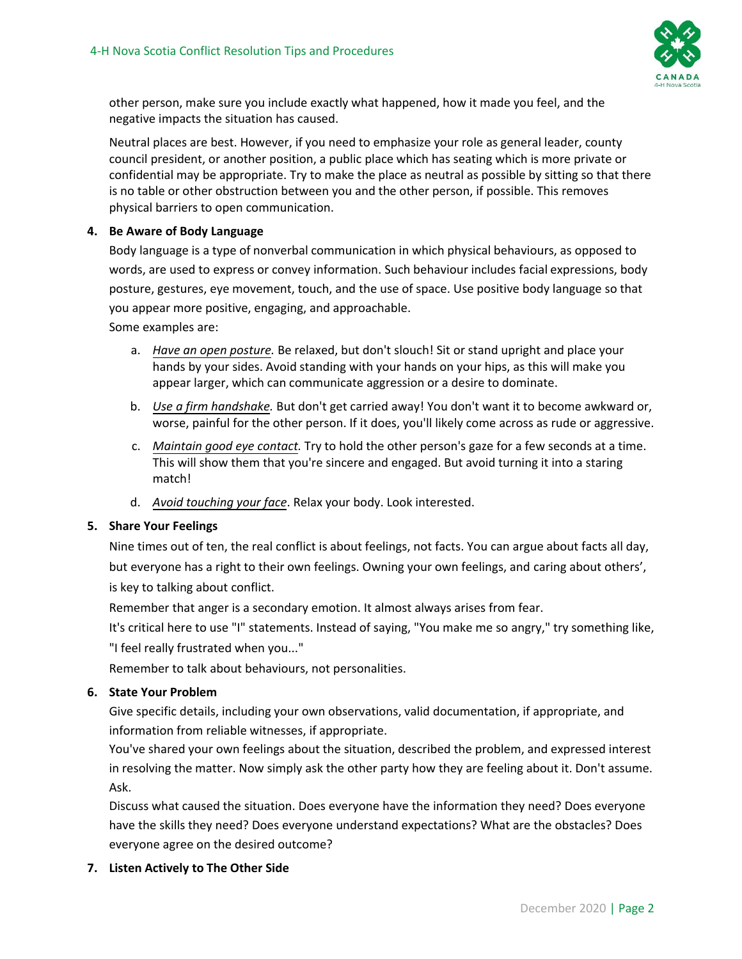

other person, make sure you include exactly what happened, how it made you feel, and the negative impacts the situation has caused.

Neutral places are best. However, if you need to emphasize your role as general leader, county council president, or another position, a public place which has seating which is more private or confidential may be appropriate. Try to make the place as neutral as possible by sitting so that there is no table or other obstruction between you and the other person, if possible. This removes physical barriers to open communication.

#### **4. Be Aware of Body Language**

Body language is a type of nonverbal communication in which physical behaviours, as opposed to words, are used to express or convey information. Such behaviour includes facial expressions, body posture, gestures, eye movement, touch, and the use of space. Use positive body language so that you appear more positive, engaging, and approachable.

Some examples are:

- a. *Have an open posture.* Be relaxed, but don't slouch! Sit or stand upright and place your hands by your sides. Avoid standing with your hands on your hips, as this will make you appear larger, which can communicate aggression or a desire to dominate.
- b. *Use a firm handshake.* But don't get carried away! You don't want it to become awkward or, worse, painful for the other person. If it does, you'll likely come across as rude or aggressive.
- c. *Maintain good eye contact.* Try to hold the other person's gaze for a few seconds at a time. This will show them that you're sincere and engaged. But avoid turning it into a staring match!
- d. *Avoid touching your face*. Relax your body. Look interested.

## **5. Share Your Feelings**

Nine times out of ten, the real conflict is about feelings, not facts. You can argue about facts all day, but everyone has a right to their own feelings. Owning your own feelings, and caring about others', is key to talking about conflict.

Remember that anger is a secondary emotion. It almost always arises from fear.

It's critical here to use "I" statements. Instead of saying, "You make me so angry," try something like, "I feel really frustrated when you..."

Remember to talk about behaviours, not personalities.

# **6. State Your Problem**

Give specific details, including your own observations, valid documentation, if appropriate, and information from reliable witnesses, if appropriate.

You've shared your own feelings about the situation, described the problem, and expressed interest in resolving the matter. Now simply ask the other party how they are feeling about it. Don't assume. Ask.

Discuss what caused the situation. Does everyone have the information they need? Does everyone have the skills they need? Does everyone understand expectations? What are the obstacles? Does everyone agree on the desired outcome?

## **7. Listen Actively to The Other Side**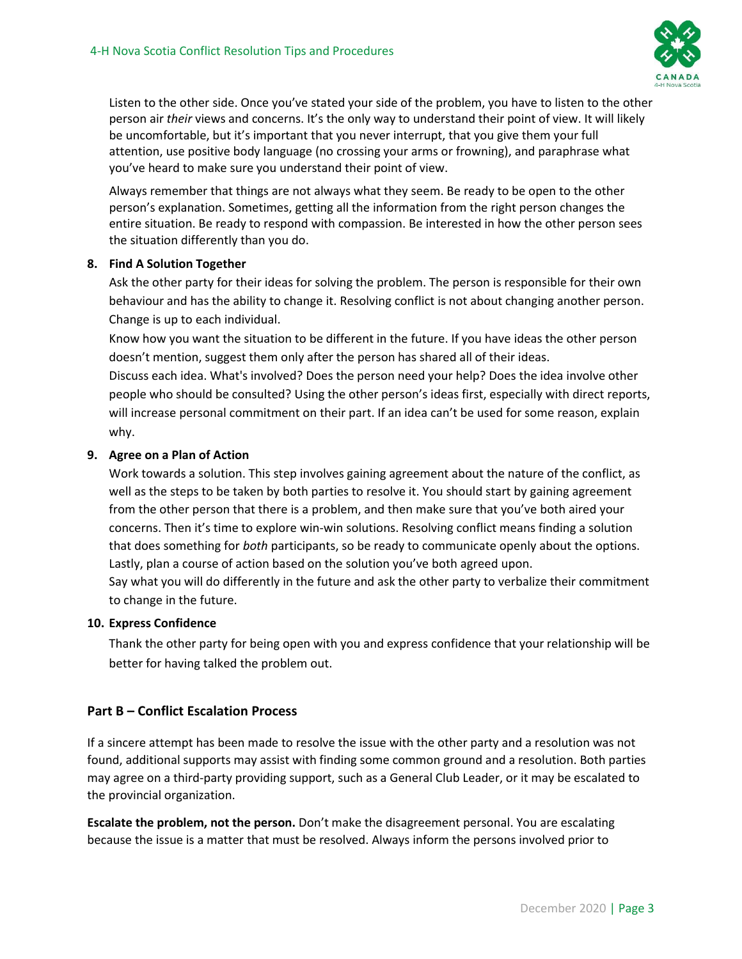

Listen to the other side. Once you've stated your side of the problem, you have to listen to the other person air *their* views and concerns. It's the only way to understand their point of view. It will likely be uncomfortable, but it's important that you never interrupt, that you give them your full attention, use positive body language (no crossing your arms or frowning), and paraphrase what you've heard to make sure you understand their point of view.

Always remember that things are not always what they seem. Be ready to be open to the other person's explanation. Sometimes, getting all the information from the right person changes the entire situation. Be ready to respond with compassion. Be interested in how the other person sees the situation differently than you do.

## **8. Find A Solution Together**

Ask the other party for their ideas for solving the problem. The person is responsible for their own behaviour and has the ability to change it. Resolving conflict is not about changing another person. Change is up to each individual.

Know how you want the situation to be different in the future. If you have ideas the other person doesn't mention, suggest them only after the person has shared all of their ideas.

Discuss each idea. What's involved? Does the person need your help? Does the idea involve other people who should be consulted? Using the other person's ideas first, especially with direct reports, will increase personal commitment on their part. If an idea can't be used for some reason, explain why.

# **9. Agree on a Plan of Action**

Work towards a solution. This step involves gaining agreement about the nature of the conflict, as well as the steps to be taken by both parties to resolve it. You should start by gaining agreement from the other person that there is a problem, and then make sure that you've both aired your concerns. Then it's time to explore win-win solutions. Resolving conflict means finding a solution that does something for *both* participants, so be ready to communicate openly about the options. Lastly, plan a course of action based on the solution you've both agreed upon.

Say what you will do differently in the future and ask the other party to verbalize their commitment to change in the future.

## **10. Express Confidence**

Thank the other party for being open with you and express confidence that your relationship will be better for having talked the problem out.

# **Part B – Conflict Escalation Process**

If a sincere attempt has been made to resolve the issue with the other party and a resolution was not found, additional supports may assist with finding some common ground and a resolution. Both parties may agree on a third-party providing support, such as a General Club Leader, or it may be escalated to the provincial organization.

**Escalate the problem, not the person.** Don't make the disagreement personal. You are escalating because the issue is a matter that must be resolved. Always inform the persons involved prior to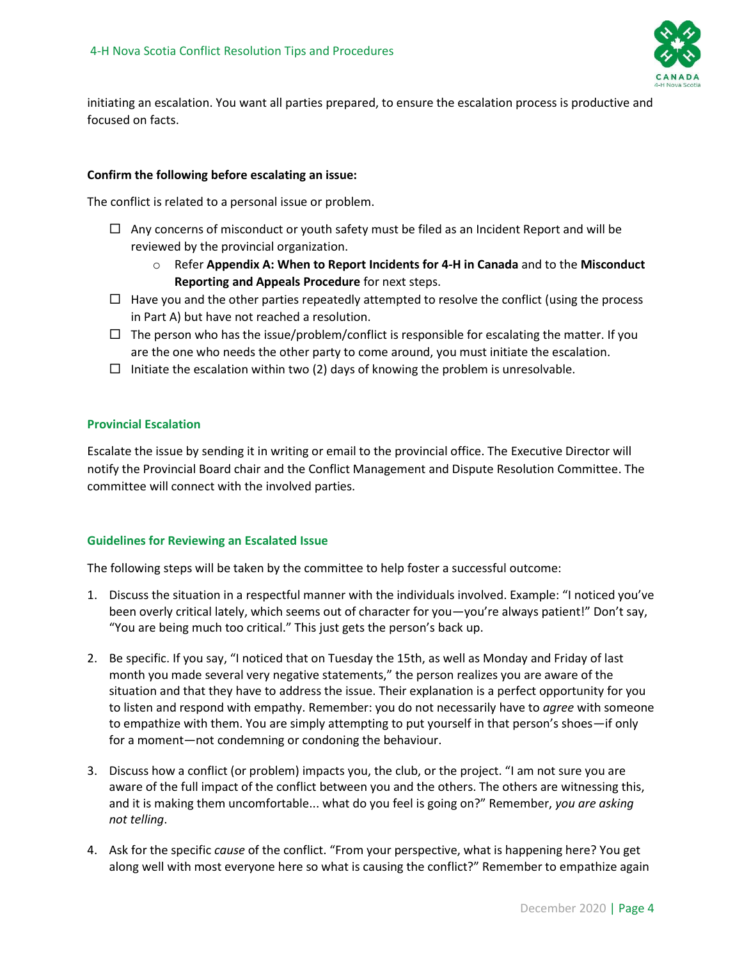

initiating an escalation. You want all parties prepared, to ensure the escalation process is productive and focused on facts.

#### **Confirm the following before escalating an issue:**

The conflict is related to a personal issue or problem.

- $\Box$  Any concerns of misconduct or youth safety must be filed as an Incident Report and will be reviewed by the provincial organization.
	- o Refer **Appendix A: When to Report Incidents for 4-H in Canada** and to the **Misconduct Reporting and Appeals Procedure** for next steps.
- $\Box$  Have you and the other parties repeatedly attempted to resolve the conflict (using the process in Part A) but have not reached a resolution.
- $\Box$  The person who has the issue/problem/conflict is responsible for escalating the matter. If you are the one who needs the other party to come around, you must initiate the escalation.
- $\Box$  Initiate the escalation within two (2) days of knowing the problem is unresolvable.

#### **Provincial Escalation**

Escalate the issue by sending it in writing or email to the provincial office. The Executive Director will notify the Provincial Board chair and the Conflict Management and Dispute Resolution Committee. The committee will connect with the involved parties.

#### **Guidelines for Reviewing an Escalated Issue**

The following steps will be taken by the committee to help foster a successful outcome:

- 1. Discuss the situation in a respectful manner with the individuals involved. Example: "I noticed you've been overly critical lately, which seems out of character for you—you're always patient!" Don't say, "You are being much too critical." This just gets the person's back up.
- 2. Be specific. If you say, "I noticed that on Tuesday the 15th, as well as Monday and Friday of last month you made several very negative statements," the person realizes you are aware of the situation and that they have to address the issue. Their explanation is a perfect opportunity for you to listen and respond with empathy. Remember: you do not necessarily have to *agree* with someone to empathize with them. You are simply attempting to put yourself in that person's shoes—if only for a moment—not condemning or condoning the behaviour.
- 3. Discuss how a conflict (or problem) impacts you, the club, or the project. "I am not sure you are aware of the full impact of the conflict between you and the others. The others are witnessing this, and it is making them uncomfortable... what do you feel is going on?" Remember, *you are asking not telling*.
- 4. Ask for the specific *cause* of the conflict. "From your perspective, what is happening here? You get along well with most everyone here so what is causing the conflict?" Remember to empathize again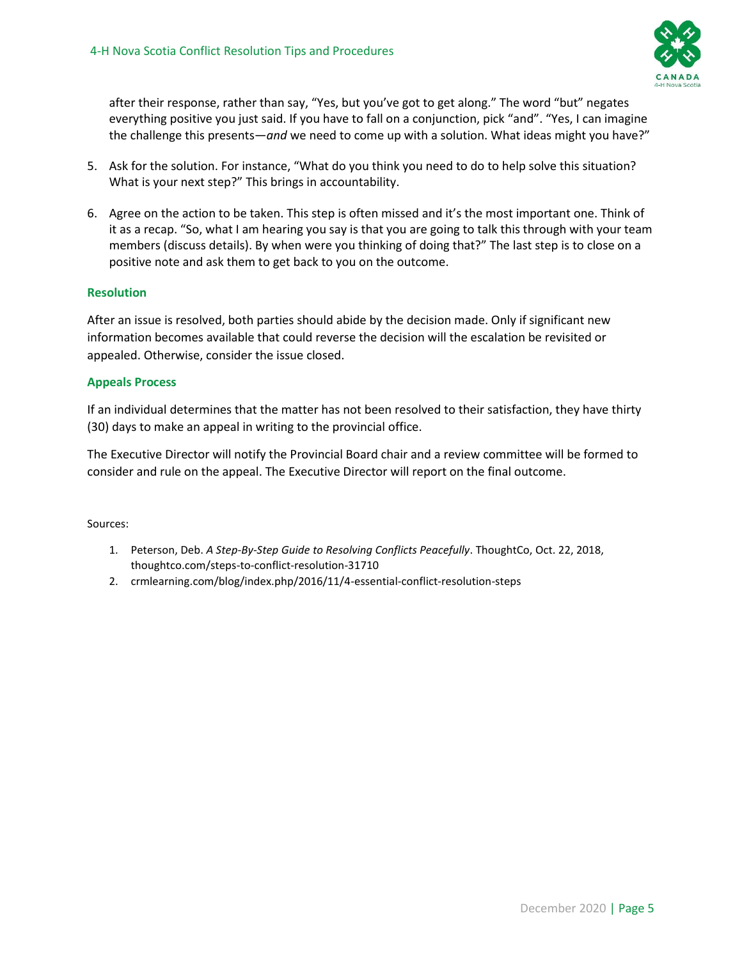

after their response, rather than say, "Yes, but you've got to get along." The word "but" negates everything positive you just said. If you have to fall on a conjunction, pick "and". "Yes, I can imagine the challenge this presents—*and* we need to come up with a solution. What ideas might you have?"

- 5. Ask for the solution. For instance, "What do you think you need to do to help solve this situation? What is your next step?" This brings in accountability.
- 6. Agree on the action to be taken. This step is often missed and it's the most important one. Think of it as a recap. "So, what I am hearing you say is that you are going to talk this through with your team members (discuss details). By when were you thinking of doing that?" The last step is to close on a positive note and ask them to get back to you on the outcome.

# **Resolution**

After an issue is resolved, both parties should abide by the decision made. Only if significant new information becomes available that could reverse the decision will the escalation be revisited or appealed. Otherwise, consider the issue closed.

## **Appeals Process**

If an individual determines that the matter has not been resolved to their satisfaction, they have thirty (30) days to make an appeal in writing to the provincial office.

The Executive Director will notify the Provincial Board chair and a review committee will be formed to consider and rule on the appeal. The Executive Director will report on the final outcome.

Sources:

- 1. Peterson, Deb. *A Step-By-Step Guide to Resolving Conflicts Peacefully*. ThoughtCo, Oct. 22, 2018, thoughtco.com/steps-to-conflict-resolution-31710
- 2. crmlearning.com/blog/index.php/2016/11/4-essential-conflict-resolution-steps